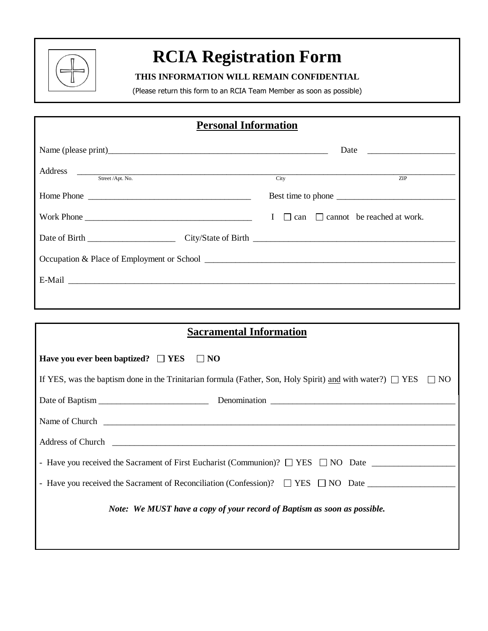

## **RCIA Registration Form**

### **THIS INFORMATION WILL REMAIN CONFIDENTIAL**

(Please return this form to an RCIA Team Member as soon as possible)

### **Personal Information**

| Address <u>Street /Apt. No.</u> City                                                                                                                                                                                           |  | ZIP                                                  |
|--------------------------------------------------------------------------------------------------------------------------------------------------------------------------------------------------------------------------------|--|------------------------------------------------------|
|                                                                                                                                                                                                                                |  |                                                      |
| Work Phone                                                                                                                                                                                                                     |  | $I \square$ can $\square$ cannot be reached at work. |
|                                                                                                                                                                                                                                |  |                                                      |
|                                                                                                                                                                                                                                |  |                                                      |
| E-Mail Participation of the contract of the contract of the contract of the contract of the contract of the contract of the contract of the contract of the contract of the contract of the contract of the contract of the co |  |                                                      |
|                                                                                                                                                                                                                                |  |                                                      |

# **Sacramental Information Have you ever been baptized?**  $\Box$  **YES**  $\Box$  **NO** If YES, was the baptism done in the Trinitarian formula (Father, Son, Holy Spirit) and with water?)  $\Box$  YES  $\Box$  NO Date of Baptism \_\_\_\_\_\_\_\_\_\_\_\_\_\_\_\_\_\_\_\_\_\_\_\_\_ Denomination \_\_\_\_\_\_\_\_\_\_\_\_\_\_\_\_\_\_\_\_\_\_\_\_\_\_\_\_\_\_\_\_\_\_\_\_\_\_\_\_\_\_ Name of Church **Latter and Church**  $\overline{a}$  and  $\overline{b}$  and  $\overline{c}$  and  $\overline{d}$  and  $\overline{d}$  and  $\overline{d}$  and  $\overline{d}$  and  $\overline{d}$  and  $\overline{d}$  and  $\overline{d}$  and  $\overline{d}$  and  $\overline{d}$  and  $\overline{d}$  and  $\overline{d}$  and  $\overline{$ Address of Church \_\_\_\_\_\_\_\_\_\_\_\_\_\_\_\_\_\_\_\_\_\_\_\_\_\_\_\_\_\_\_\_\_\_\_\_\_\_\_\_\_\_\_\_\_\_\_\_\_\_\_\_\_\_\_\_\_\_\_\_\_\_\_\_\_\_\_\_\_\_\_\_\_\_\_\_\_\_ - Have you received the Sacrament of First Eucharist (Communion)?  $\Box$  YES  $\Box$  NO Date  $\Box$ - Have you received the Sacrament of Reconciliation (Confession)? YES NO Date \_\_\_\_\_\_\_\_\_\_\_\_\_\_\_\_\_\_\_\_ *Note: We MUST have a copy of your record of Baptism as soon as possible.*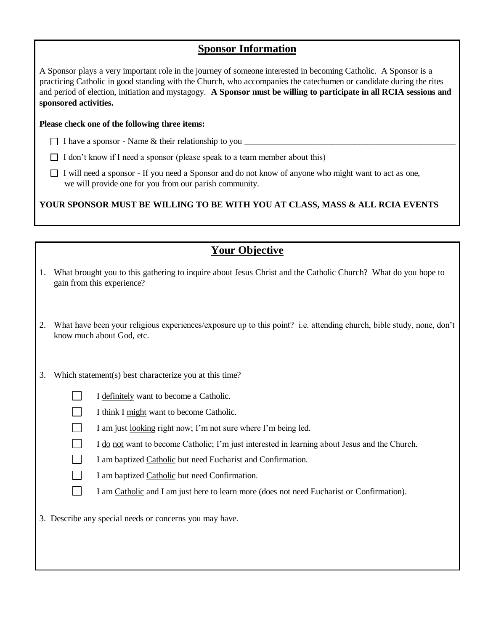### **Sponsor Information**

A Sponsor plays a very important role in the journey of someone interested in becoming Catholic. A Sponsor is a practicing Catholic in good standing with the Church, who accompanies the catechumen or candidate during the rites and period of election, initiation and mystagogy. **A Sponsor must be willing to participate in all RCIA sessions and sponsored activities.** 

#### **Please check one of the following three items:**

- $\Box$  I have a sponsor Name & their relationship to you  $\Box$
- $\Box$  I don't know if I need a sponsor (please speak to a team member about this)
- $\Box$  I will need a sponsor If you need a Sponsor and do not know of anyone who might want to act as one, we will provide one for you from our parish community.

**YOUR SPONSOR MUST BE WILLING TO BE WITH YOU AT CLASS, MASS & ALL RCIA EVENTS**

|    | <b>Your Objective</b>                                                                                                                             |
|----|---------------------------------------------------------------------------------------------------------------------------------------------------|
| 1. | What brought you to this gathering to inquire about Jesus Christ and the Catholic Church? What do you hope to<br>gain from this experience?       |
| 2. | What have been your religious experiences/exposure up to this point? i.e. attending church, bible study, none, don't<br>know much about God, etc. |
| 3. | Which statement(s) best characterize you at this time?                                                                                            |
|    | I definitely want to become a Catholic.                                                                                                           |
|    | I think I might want to become Catholic.                                                                                                          |
|    | I am just looking right now; I'm not sure where I'm being led.                                                                                    |
|    | I do not want to become Catholic; I'm just interested in learning about Jesus and the Church.                                                     |
|    | I am baptized Catholic but need Eucharist and Confirmation.                                                                                       |
|    | I am baptized Catholic but need Confirmation.                                                                                                     |
|    | I am Catholic and I am just here to learn more (does not need Eucharist or Confirmation).                                                         |
|    | 3. Describe any special needs or concerns you may have.                                                                                           |